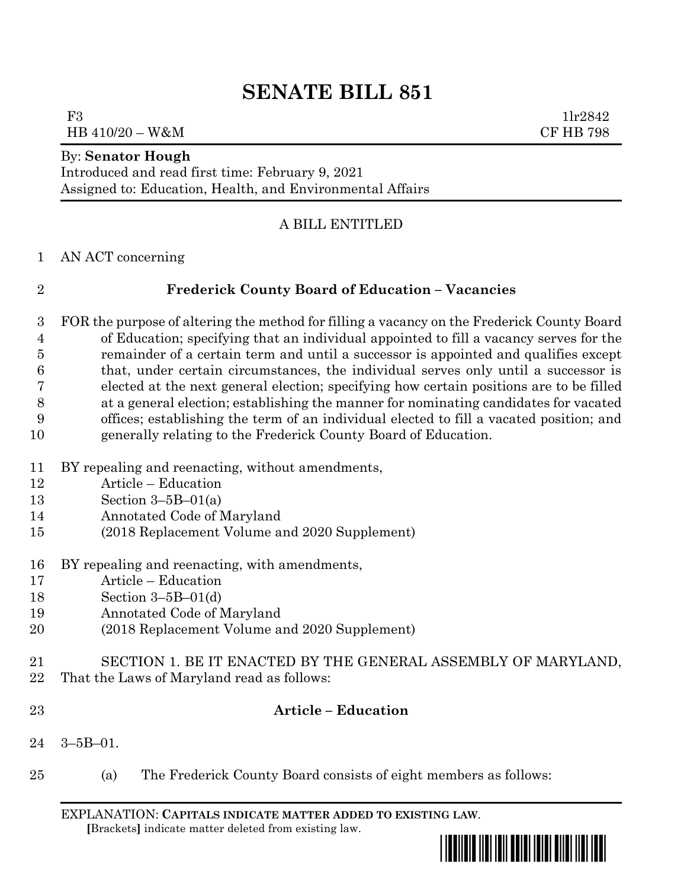# **SENATE BILL 851**

F3  $1\text{lr}2842$ HB 410/20 – W&M CF HB 798

#### By: **Senator Hough**

Introduced and read first time: February 9, 2021 Assigned to: Education, Health, and Environmental Affairs

### A BILL ENTITLED

AN ACT concerning

### **Frederick County Board of Education – Vacancies**

 FOR the purpose of altering the method for filling a vacancy on the Frederick County Board of Education; specifying that an individual appointed to fill a vacancy serves for the remainder of a certain term and until a successor is appointed and qualifies except that, under certain circumstances, the individual serves only until a successor is elected at the next general election; specifying how certain positions are to be filled at a general election; establishing the manner for nominating candidates for vacated offices; establishing the term of an individual elected to fill a vacated position; and generally relating to the Frederick County Board of Education.

- BY repealing and reenacting, without amendments,
- Article Education
- Section 3–5B–01(a)
- Annotated Code of Maryland
- (2018 Replacement Volume and 2020 Supplement)
- BY repealing and reenacting, with amendments,
- Article Education
- Section 3–5B–01(d)
- Annotated Code of Maryland
- (2018 Replacement Volume and 2020 Supplement)
- SECTION 1. BE IT ENACTED BY THE GENERAL ASSEMBLY OF MARYLAND,
- That the Laws of Maryland read as follows:
- 

## **Article – Education**

- 3–5B–01.
- (a) The Frederick County Board consists of eight members as follows:

EXPLANATION: **CAPITALS INDICATE MATTER ADDED TO EXISTING LAW**.  **[**Brackets**]** indicate matter deleted from existing law.

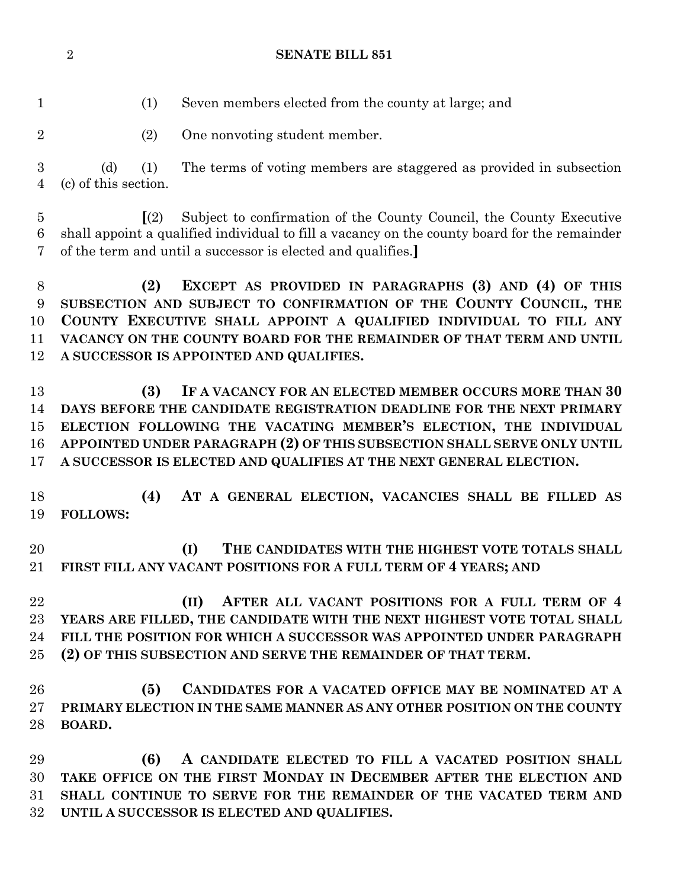#### **SENATE BILL 851**

(1) Seven members elected from the county at large; and

(2) One nonvoting student member.

 (d) (1) The terms of voting members are staggered as provided in subsection (c) of this section.

 **[**(2) Subject to confirmation of the County Council, the County Executive shall appoint a qualified individual to fill a vacancy on the county board for the remainder of the term and until a successor is elected and qualifies.**]**

 **(2) EXCEPT AS PROVIDED IN PARAGRAPHS (3) AND (4) OF THIS SUBSECTION AND SUBJECT TO CONFIRMATION OF THE COUNTY COUNCIL, THE COUNTY EXECUTIVE SHALL APPOINT A QUALIFIED INDIVIDUAL TO FILL ANY VACANCY ON THE COUNTY BOARD FOR THE REMAINDER OF THAT TERM AND UNTIL A SUCCESSOR IS APPOINTED AND QUALIFIES.**

 **(3) IF A VACANCY FOR AN ELECTED MEMBER OCCURS MORE THAN 30 DAYS BEFORE THE CANDIDATE REGISTRATION DEADLINE FOR THE NEXT PRIMARY ELECTION FOLLOWING THE VACATING MEMBER'S ELECTION, THE INDIVIDUAL APPOINTED UNDER PARAGRAPH (2) OF THIS SUBSECTION SHALL SERVE ONLY UNTIL A SUCCESSOR IS ELECTED AND QUALIFIES AT THE NEXT GENERAL ELECTION.**

 **(4) AT A GENERAL ELECTION, VACANCIES SHALL BE FILLED AS FOLLOWS:**

 **(I) THE CANDIDATES WITH THE HIGHEST VOTE TOTALS SHALL FIRST FILL ANY VACANT POSITIONS FOR A FULL TERM OF 4 YEARS; AND**

 **(II) AFTER ALL VACANT POSITIONS FOR A FULL TERM OF 4 YEARS ARE FILLED, THE CANDIDATE WITH THE NEXT HIGHEST VOTE TOTAL SHALL FILL THE POSITION FOR WHICH A SUCCESSOR WAS APPOINTED UNDER PARAGRAPH (2) OF THIS SUBSECTION AND SERVE THE REMAINDER OF THAT TERM.**

 **(5) CANDIDATES FOR A VACATED OFFICE MAY BE NOMINATED AT A PRIMARY ELECTION IN THE SAME MANNER AS ANY OTHER POSITION ON THE COUNTY BOARD.**

 **(6) A CANDIDATE ELECTED TO FILL A VACATED POSITION SHALL TAKE OFFICE ON THE FIRST MONDAY IN DECEMBER AFTER THE ELECTION AND SHALL CONTINUE TO SERVE FOR THE REMAINDER OF THE VACATED TERM AND UNTIL A SUCCESSOR IS ELECTED AND QUALIFIES.**